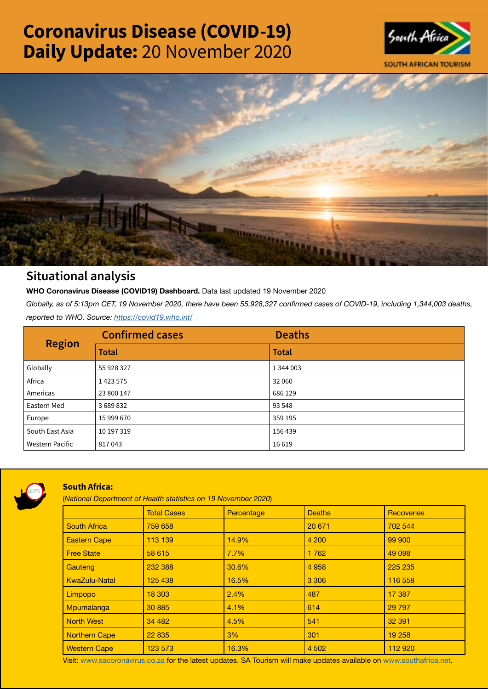# Coronavirus Disease (COVID-19) Daily Update: 20 November 2020





## Situational analysis

**WHO Coronavirus Disease (COVID19) Dashboard.** Data last updated 19 November 2020

*Globally, as of 5:13pm CET, 19 November 2020, there have been 55,928,327 confirmed cases of COVID-19, including 1,344,003 deaths, reported to WHO. Source:<https://covid19.who.int/>*

| <b>Region</b>          | <b>Confirmed cases</b> | <b>Deaths</b> |
|------------------------|------------------------|---------------|
|                        | <b>Total</b>           | <b>Total</b>  |
| Globally               | 55 928 327             | 1 344 003     |
| Africa                 | 1423575                | 32 060        |
| Americas               | 23 800 147             | 686 129       |
| Eastern Med            | 3689832                | 93 548        |
| Europe                 | 15 999 670             | 359 195       |
| South East Asia        | 10 197 319             | 156 439       |
| <b>Western Pacific</b> | 817043                 | 16619         |



### South Africa:

(*National Department of Health statistics on 19 November 2020*)

|                      | <b>Total Cases</b> | Percentage | <b>Deaths</b> | <b>Recoveries</b> |
|----------------------|--------------------|------------|---------------|-------------------|
| <b>South Africa</b>  | 759 658            |            | 20 671        | 702 544           |
| <b>Eastern Cape</b>  | 113 139            | 14.9%      | 4 200         | 99 900            |
| <b>Free State</b>    | 58 615             | 7.7%       | 1762          | 49 098            |
| Gauteng              | 232 388            | 30.6%      | 4 9 5 8       | 225 235           |
| <b>KwaZulu-Natal</b> | 125 438            | 16.5%      | 3 3 0 6       | 116 558           |
| Limpopo              | 18 303             | 2.4%       | 487           | 17 387            |
| Mpumalanga           | 30 885             | 4.1%       | 614           | 29 7 9 7          |
| <b>North West</b>    | 34 482             | 4.5%       | 541           | 32 391            |
| <b>Northern Cape</b> | 22 835             | 3%         | 301           | 19 258            |
| <b>Western Cape</b>  | 123 573            | 16.3%      | 4 5 0 2       | 112 920           |

Visit: [www.sacoronavirus.co.za](http://www.sacoronavirus.co.za) for the latest updates. SA Tourism will make updates available on [www.southafrica.net.](http://www.southafrica.net)